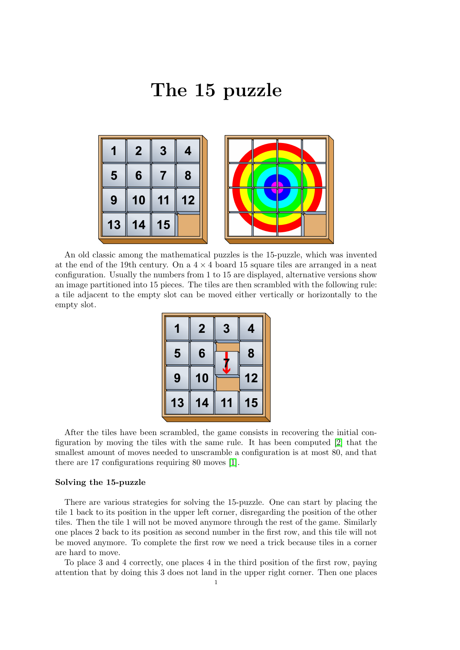## The 15 puzzle



An old classic among the mathematical puzzles is the 15-puzzle, which was invented at the end of the 19th century. On a  $4 \times 4$  board 15 square tiles are arranged in a neat configuration. Usually the numbers from 1 to 15 are displayed, alternative versions show an image partitioned into 15 pieces. The tiles are then scrambled with the following rule: a tile adjacent to the empty slot can be moved either vertically or horizontally to the empty slot.

|    | $\overline{2}$ | 3 |    |
|----|----------------|---|----|
| 5  | 6              |   | 8  |
| 9  | 10             |   | 12 |
| 13 | 14             |   | 15 |

After the tiles have been scrambled, the game consists in recovering the initial configuration by moving the tiles with the same rule. It has been computed [\[2\]](#page-1-0) that the smallest amount of moves needed to unscramble a configuration is at most 80, and that there are 17 configurations requiring 80 moves [\[1\]](#page-1-1).

## Solving the 15-puzzle

There are various strategies for solving the 15-puzzle. One can start by placing the tile 1 back to its position in the upper left corner, disregarding the position of the other tiles. Then the tile 1 will not be moved anymore through the rest of the game. Similarly one places 2 back to its position as second number in the first row, and this tile will not be moved anymore. To complete the first row we need a trick because tiles in a corner are hard to move.

To place 3 and 4 correctly, one places 4 in the third position of the first row, paying attention that by doing this 3 does not land in the upper right corner. Then one places